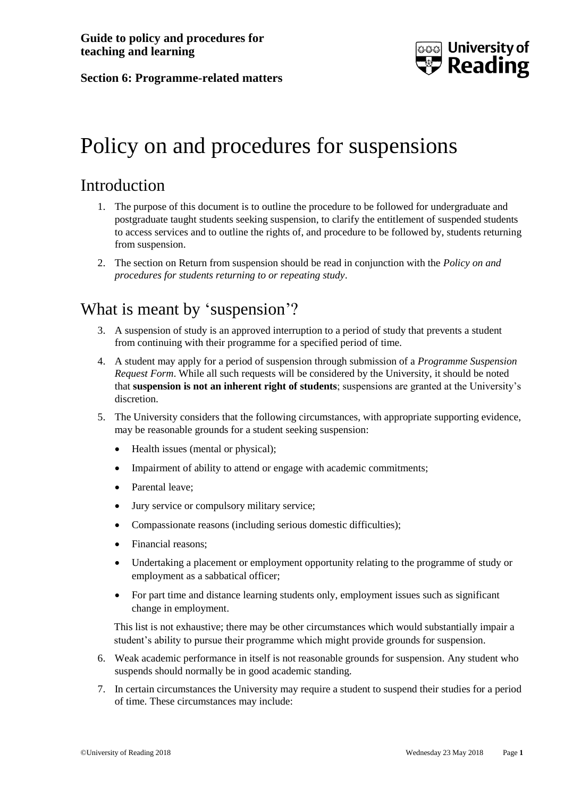

#### **Section 6: Programme-related matters**

# Policy on and procedures for suspensions

# Introduction

- 1. The purpose of this document is to outline the procedure to be followed for undergraduate and postgraduate taught students seeking suspension, to clarify the entitlement of suspended students to access services and to outline the rights of, and procedure to be followed by, students returning from suspension.
- 2. The section on Return from suspension should be read in conjunction with the *Policy on and procedures for students returning to or repeating study*.

# What is meant by 'suspension'?

- 3. A suspension of study is an approved interruption to a period of study that prevents a student from continuing with their programme for a specified period of time.
- 4. A student may apply for a period of suspension through submission of a *Programme Suspension Request Form*. While all such requests will be considered by the University, it should be noted that **suspension is not an inherent right of students**; suspensions are granted at the University's discretion.
- 5. The University considers that the following circumstances, with appropriate supporting evidence, may be reasonable grounds for a student seeking suspension:
	- Health issues (mental or physical);
	- Impairment of ability to attend or engage with academic commitments;
	- Parental leave:
	- Jury service or compulsory military service;
	- Compassionate reasons (including serious domestic difficulties);
	- Financial reasons;
	- Undertaking a placement or employment opportunity relating to the programme of study or employment as a sabbatical officer;
	- For part time and distance learning students only, employment issues such as significant change in employment.

This list is not exhaustive; there may be other circumstances which would substantially impair a student's ability to pursue their programme which might provide grounds for suspension.

- 6. Weak academic performance in itself is not reasonable grounds for suspension. Any student who suspends should normally be in good academic standing.
- 7. In certain circumstances the University may require a student to suspend their studies for a period of time. These circumstances may include: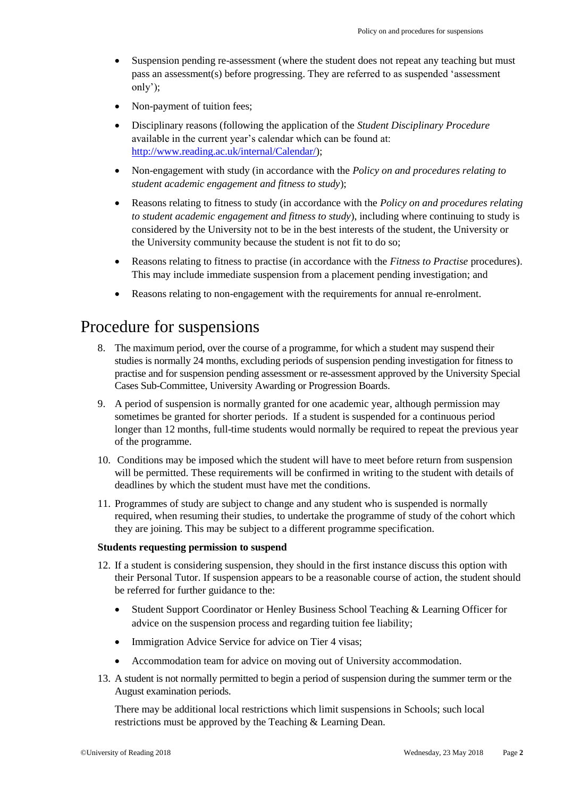- Suspension pending re-assessment (where the student does not repeat any teaching but must pass an assessment(s) before progressing. They are referred to as suspended 'assessment only');
- Non-payment of tuition fees;
- Disciplinary reasons (following the application of the *Student Disciplinary Procedure* available in the current year's calendar which can be found at: [http://www.reading.ac.uk/internal/Calendar/\)](http://www.reading.ac.uk/internal/Calendar/);
- Non-engagement with study (in accordance with the *Policy on and procedures relating to student academic engagement and fitness to study*);
- Reasons relating to fitness to study (in accordance with the *Policy on and procedures relating to student academic engagement and fitness to study*), including where continuing to study is considered by the University not to be in the best interests of the student, the University or the University community because the student is not fit to do so;
- Reasons relating to fitness to practise (in accordance with the *Fitness to Practise* procedures). This may include immediate suspension from a placement pending investigation; and
- Reasons relating to non-engagement with the requirements for annual re-enrolment.

### Procedure for suspensions

- 8. The maximum period, over the course of a programme, for which a student may suspend their studies is normally 24 months, excluding periods of suspension pending investigation for fitness to practise and for suspension pending assessment or re-assessment approved by the University Special Cases Sub-Committee, University Awarding or Progression Boards.
- 9. A period of suspension is normally granted for one academic year, although permission may sometimes be granted for shorter periods. If a student is suspended for a continuous period longer than 12 months, full-time students would normally be required to repeat the previous year of the programme.
- 10. Conditions may be imposed which the student will have to meet before return from suspension will be permitted. These requirements will be confirmed in writing to the student with details of deadlines by which the student must have met the conditions.
- 11. Programmes of study are subject to change and any student who is suspended is normally required, when resuming their studies, to undertake the programme of study of the cohort which they are joining. This may be subject to a different programme specification.

#### **Students requesting permission to suspend**

- 12. If a student is considering suspension, they should in the first instance discuss this option with their Personal Tutor. If suspension appears to be a reasonable course of action, the student should be referred for further guidance to the:
	- Student Support Coordinator or Henley Business School Teaching & Learning Officer for advice on the suspension process and regarding tuition fee liability;
	- [Immigration Advice Service](http://www.reading.ac.uk/internal/student/international-students/stdserv-international-immigration.aspx) for advice on Tier 4 visas:
	- Accommodation team for advice on moving out of University accommodation.
- 13. A student is not normally permitted to begin a period of suspension during the summer term or the August examination periods.

There may be additional local restrictions which limit suspensions in Schools; such local restrictions must be approved by the Teaching & Learning Dean.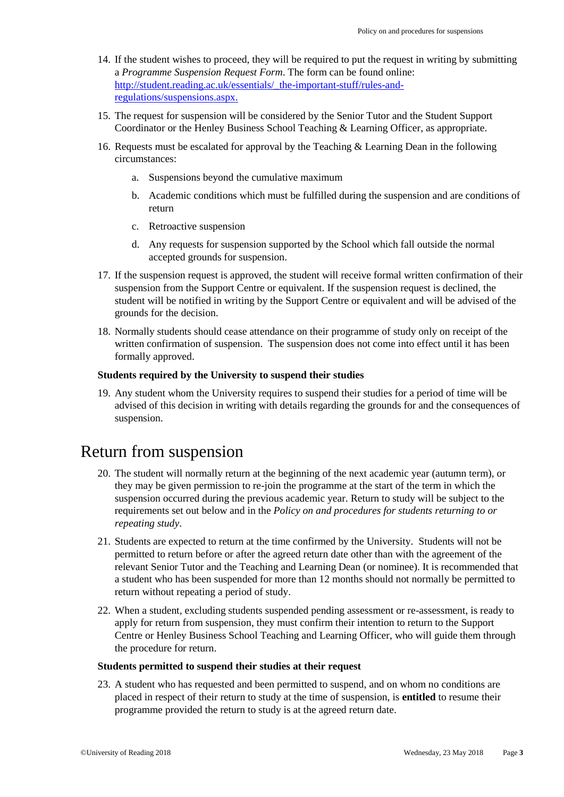- 14. If the student wishes to proceed, they will be required to put the request in writing by submitting a *Programme Suspension Request Form*. The form can be found online: [http://student.reading.ac.uk/essentials/\\_the-important-stuff/rules-and](http://student.reading.ac.uk/essentials/_the-important-stuff/rules-and-regulations/suspensions.aspx)[regulations/suspensions.aspx.](http://student.reading.ac.uk/essentials/_the-important-stuff/rules-and-regulations/suspensions.aspx)
- 15. The request for suspension will be considered by the Senior Tutor and the Student Support Coordinator or the Henley Business School Teaching & Learning Officer, as appropriate.
- 16. Requests must be escalated for approval by the Teaching & Learning Dean in the following circumstances:
	- a. Suspensions beyond the cumulative maximum
	- b. Academic conditions which must be fulfilled during the suspension and are conditions of return
	- c. Retroactive suspension
	- d. Any requests for suspension supported by the School which fall outside the normal accepted grounds for suspension.
- 17. If the suspension request is approved, the student will receive formal written confirmation of their suspension from the Support Centre or equivalent. If the suspension request is declined, the student will be notified in writing by the Support Centre or equivalent and will be advised of the grounds for the decision.
- 18. Normally students should cease attendance on their programme of study only on receipt of the written confirmation of suspension. The suspension does not come into effect until it has been formally approved.

#### **Students required by the University to suspend their studies**

19. Any student whom the University requires to suspend their studies for a period of time will be advised of this decision in writing with details regarding the grounds for and the consequences of suspension.

### Return from suspension

- 20. The student will normally return at the beginning of the next academic year (autumn term), or they may be given permission to re-join the programme at the start of the term in which the suspension occurred during the previous academic year. Return to study will be subject to the requirements set out below and in the *Policy on and procedures for students returning to or repeating study*.
- 21. Students are expected to return at the time confirmed by the University. Students will not be permitted to return before or after the agreed return date other than with the agreement of the relevant Senior Tutor and the Teaching and Learning Dean (or nominee). It is recommended that a student who has been suspended for more than 12 months should not normally be permitted to return without repeating a period of study.
- 22. When a student, excluding students suspended pending assessment or re-assessment, is ready to apply for return from suspension, they must confirm their intention to return to the Support Centre or Henley Business School Teaching and Learning Officer, who will guide them through the procedure for return.

#### **Students permitted to suspend their studies at their request**

23. A student who has requested and been permitted to suspend, and on whom no conditions are placed in respect of their return to study at the time of suspension, is **entitled** to resume their programme provided the return to study is at the agreed return date.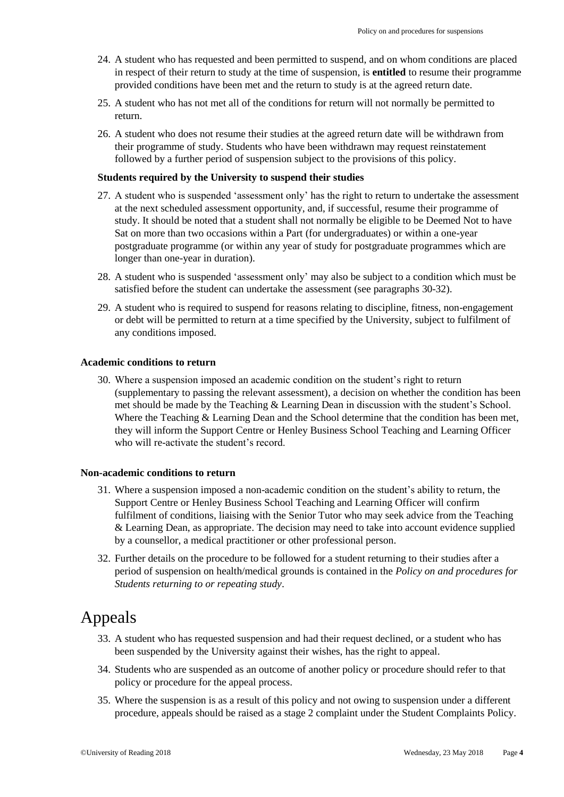- 24. A student who has requested and been permitted to suspend, and on whom conditions are placed in respect of their return to study at the time of suspension, is **entitled** to resume their programme provided conditions have been met and the return to study is at the agreed return date.
- 25. A student who has not met all of the conditions for return will not normally be permitted to return.
- 26. A student who does not resume their studies at the agreed return date will be withdrawn from their programme of study. Students who have been withdrawn may request reinstatement followed by a further period of suspension subject to the provisions of this policy.

#### **Students required by the University to suspend their studies**

- 27. A student who is suspended 'assessment only' has the right to return to undertake the assessment at the next scheduled assessment opportunity, and, if successful, resume their programme of study. It should be noted that a student shall not normally be eligible to be Deemed Not to have Sat on more than two occasions within a Part (for undergraduates) or within a one-year postgraduate programme (or within any year of study for postgraduate programmes which are longer than one-year in duration).
- 28. A student who is suspended 'assessment only' may also be subject to a condition which must be satisfied before the student can undertake the assessment (see paragraphs 30-32).
- 29. A student who is required to suspend for reasons relating to discipline, fitness, non-engagement or debt will be permitted to return at a time specified by the University, subject to fulfilment of any conditions imposed.

#### **Academic conditions to return**

30. Where a suspension imposed an academic condition on the student's right to return (supplementary to passing the relevant assessment), a decision on whether the condition has been met should be made by the Teaching & Learning Dean in discussion with the student's School. Where the Teaching & Learning Dean and the School determine that the condition has been met, they will inform the Support Centre or Henley Business School Teaching and Learning Officer who will re-activate the student's record.

#### **Non-academic conditions to return**

- 31. Where a suspension imposed a non-academic condition on the student's ability to return, the Support Centre or Henley Business School Teaching and Learning Officer will confirm fulfilment of conditions, liaising with the Senior Tutor who may seek advice from the Teaching & Learning Dean, as appropriate. The decision may need to take into account evidence supplied by a counsellor, a medical practitioner or other professional person.
- 32. Further details on the procedure to be followed for a student returning to their studies after a period of suspension on health/medical grounds is contained in the *Policy on and procedures for Students returning to or repeating study*.

## Appeals

- 33. A student who has requested suspension and had their request declined, or a student who has been suspended by the University against their wishes, has the right to appeal.
- 34. Students who are suspended as an outcome of another policy or procedure should refer to that policy or procedure for the appeal process.
- 35. Where the suspension is as a result of this policy and not owing to suspension under a different procedure, appeals should be raised as a stage 2 complaint under the Student Complaints Policy.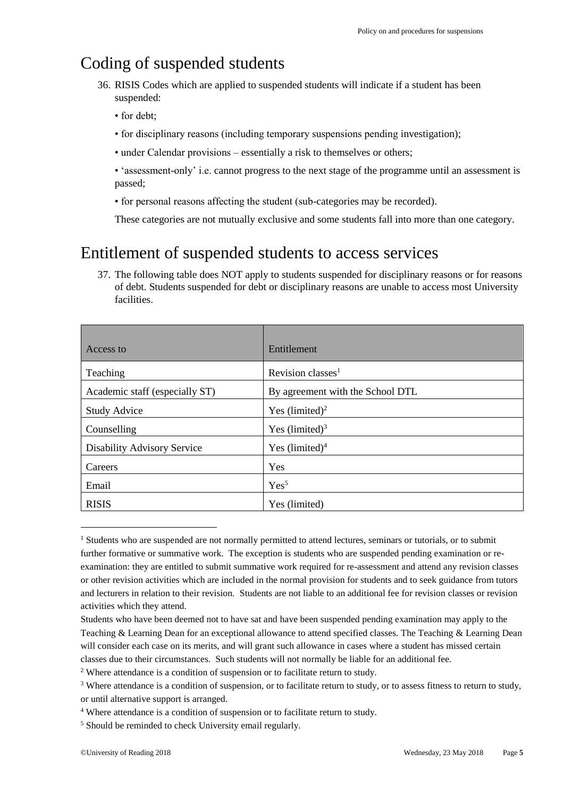# Coding of suspended students

- 36. RISIS Codes which are applied to suspended students will indicate if a student has been suspended:
	- for debt;
	- for disciplinary reasons (including temporary suspensions pending investigation);
	- under Calendar provisions essentially a risk to themselves or others;
	- 'assessment-only' i.e. cannot progress to the next stage of the programme until an assessment is passed;
	- for personal reasons affecting the student (sub-categories may be recorded).

These categories are not mutually exclusive and some students fall into more than one category.

# Entitlement of suspended students to access services

37. The following table does NOT apply to students suspended for disciplinary reasons or for reasons of debt. Students suspended for debt or disciplinary reasons are unable to access most University facilities.

| Access to                      | Entitlement                      |
|--------------------------------|----------------------------------|
| Teaching                       | Revision classes $1$             |
| Academic staff (especially ST) | By agreement with the School DTL |
| <b>Study Advice</b>            | Yes $(limited)^2$                |
| Counselling                    | Yes $(limited)^3$                |
| Disability Advisory Service    | Yes $(limited)^4$                |
| Careers                        | Yes                              |
| Email                          | Yes <sup>5</sup>                 |
| <b>RISIS</b>                   | Yes (limited)                    |

<sup>&</sup>lt;sup>1</sup> Students who are suspended are not normally permitted to attend lectures, seminars or tutorials, or to submit further formative or summative work. The exception is students who are suspended pending examination or reexamination: they are entitled to submit summative work required for re-assessment and attend any revision classes or other revision activities which are included in the normal provision for students and to seek guidance from tutors and lecturers in relation to their revision. Students are not liable to an additional fee for revision classes or revision activities which they attend.

-

Students who have been deemed not to have sat and have been suspended pending examination may apply to the Teaching & Learning Dean for an exceptional allowance to attend specified classes. The Teaching & Learning Dean will consider each case on its merits, and will grant such allowance in cases where a student has missed certain classes due to their circumstances. Such students will not normally be liable for an additional fee.

<sup>&</sup>lt;sup>2</sup> Where attendance is a condition of suspension or to facilitate return to study.

<sup>&</sup>lt;sup>3</sup> Where attendance is a condition of suspension, or to facilitate return to study, or to assess fitness to return to study, or until alternative support is arranged.

<sup>4</sup> Where attendance is a condition of suspension or to facilitate return to study.

<sup>&</sup>lt;sup>5</sup> Should be reminded to check University email regularly.